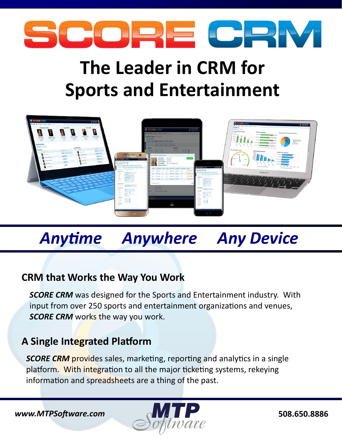

# **The Leader in CRM for Sports and Entertainment**



# *Anytime Anywhere Any Device*

# **CRM that Works the Way You Work**

**SCORE CRM** was designed for the Sports and Entertainment industry. With input from over 250 sports and entertainment organizations and venues, **SCORE CRM** works the way you work.

# **A Single Integrated Platform**

**SCORE CRM** provides sales, marketing, reporting and analytics in a single platform. With integration to all the major ticketing systems, rekeying information and spreadsheets are a thing of the past.

*www.MTPSoftware.com* **6.174.1.177.18886 508.650.8886**